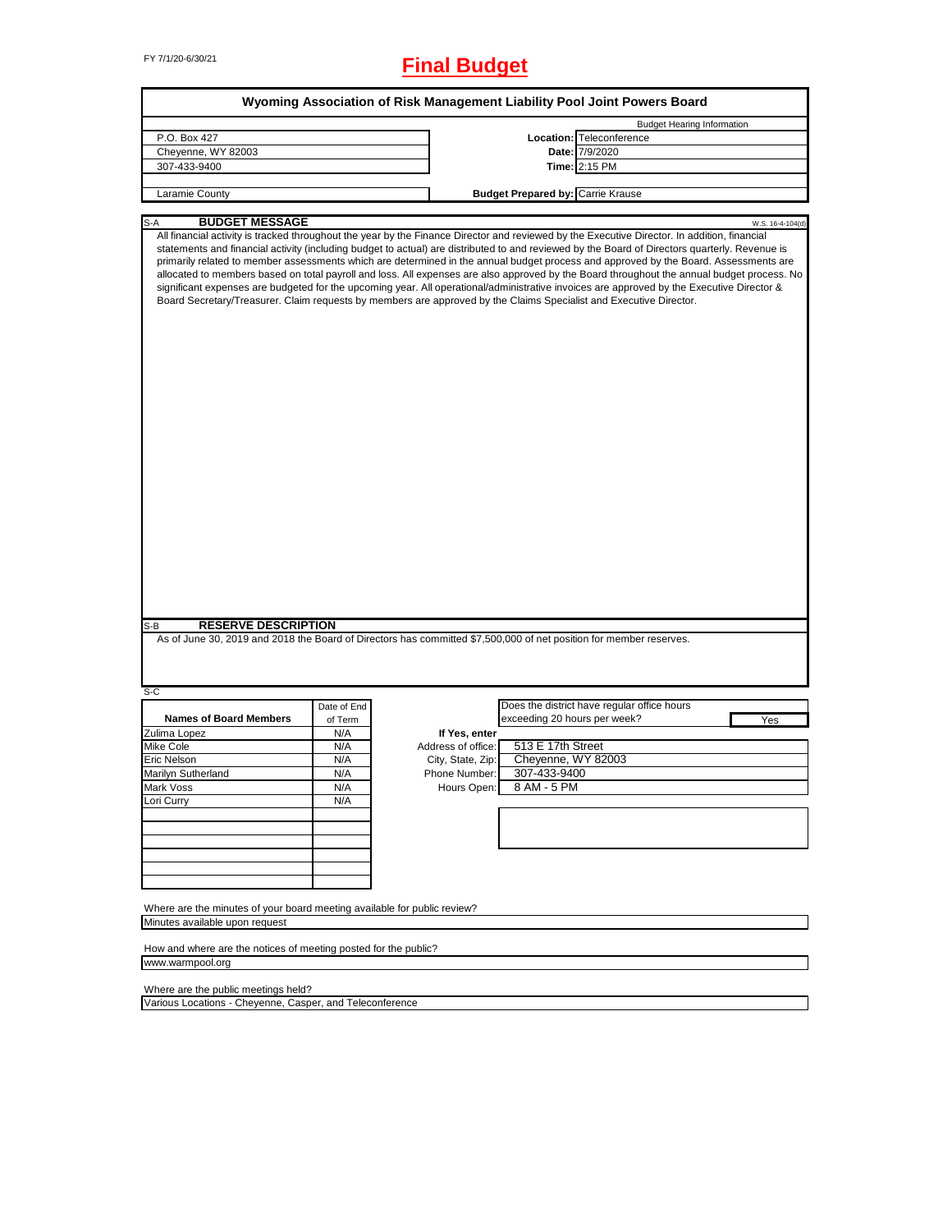# FY 7/1/20-6/30/21 **Final Budget**

| Wyoming Association of Risk Management Liability Pool Joint Powers Board |                |                                    |                                                                                                                                                                                                                                                                                                                                                                                                                                                                                                                                                                                                                                                                                                                                                                                                                                                         |  |
|--------------------------------------------------------------------------|----------------|------------------------------------|---------------------------------------------------------------------------------------------------------------------------------------------------------------------------------------------------------------------------------------------------------------------------------------------------------------------------------------------------------------------------------------------------------------------------------------------------------------------------------------------------------------------------------------------------------------------------------------------------------------------------------------------------------------------------------------------------------------------------------------------------------------------------------------------------------------------------------------------------------|--|
|                                                                          |                |                                    | <b>Budget Hearing Information</b>                                                                                                                                                                                                                                                                                                                                                                                                                                                                                                                                                                                                                                                                                                                                                                                                                       |  |
| P.O. Box 427                                                             |                |                                    | Location: Teleconference                                                                                                                                                                                                                                                                                                                                                                                                                                                                                                                                                                                                                                                                                                                                                                                                                                |  |
| Cheyenne, WY 82003                                                       |                |                                    | Date: 7/9/2020                                                                                                                                                                                                                                                                                                                                                                                                                                                                                                                                                                                                                                                                                                                                                                                                                                          |  |
| 307-433-9400                                                             |                |                                    | Time: 2:15 PM                                                                                                                                                                                                                                                                                                                                                                                                                                                                                                                                                                                                                                                                                                                                                                                                                                           |  |
|                                                                          |                |                                    |                                                                                                                                                                                                                                                                                                                                                                                                                                                                                                                                                                                                                                                                                                                                                                                                                                                         |  |
| Laramie County                                                           |                |                                    | <b>Budget Prepared by: Carrie Krause</b>                                                                                                                                                                                                                                                                                                                                                                                                                                                                                                                                                                                                                                                                                                                                                                                                                |  |
|                                                                          |                |                                    |                                                                                                                                                                                                                                                                                                                                                                                                                                                                                                                                                                                                                                                                                                                                                                                                                                                         |  |
| <b>BUDGET MESSAGE</b><br>S-A                                             |                |                                    | W.S. 16-4-104(d)                                                                                                                                                                                                                                                                                                                                                                                                                                                                                                                                                                                                                                                                                                                                                                                                                                        |  |
| <b>RESERVE DESCRIPTION</b><br>S-B                                        |                |                                    | All financial activity is tracked throughout the year by the Finance Director and reviewed by the Executive Director. In addition, financial<br>statements and financial activity (including budget to actual) are distributed to and reviewed by the Board of Directors quarterly. Revenue is<br>primarily related to member assessments which are determined in the annual budget process and approved by the Board. Assessments are<br>allocated to members based on total payroll and loss. All expenses are also approved by the Board throughout the annual budget process. No<br>significant expenses are budgeted for the upcoming year. All operational/administrative invoices are approved by the Executive Director &<br>Board Secretary/Treasurer. Claim requests by members are approved by the Claims Specialist and Executive Director. |  |
|                                                                          |                |                                    | As of June 30, 2019 and 2018 the Board of Directors has committed \$7,500,000 of net position for member reserves.                                                                                                                                                                                                                                                                                                                                                                                                                                                                                                                                                                                                                                                                                                                                      |  |
|                                                                          |                |                                    |                                                                                                                                                                                                                                                                                                                                                                                                                                                                                                                                                                                                                                                                                                                                                                                                                                                         |  |
| S-C                                                                      | Date of End    |                                    | Does the district have regular office hours                                                                                                                                                                                                                                                                                                                                                                                                                                                                                                                                                                                                                                                                                                                                                                                                             |  |
| <b>Names of Board Members</b>                                            |                |                                    | exceeding 20 hours per week?                                                                                                                                                                                                                                                                                                                                                                                                                                                                                                                                                                                                                                                                                                                                                                                                                            |  |
| Zulima Lopez                                                             | of Term<br>N/A | If Yes, enter                      | Yes                                                                                                                                                                                                                                                                                                                                                                                                                                                                                                                                                                                                                                                                                                                                                                                                                                                     |  |
| Mike Cole                                                                | N/A            | Address of office:                 | 513 E 17th Street                                                                                                                                                                                                                                                                                                                                                                                                                                                                                                                                                                                                                                                                                                                                                                                                                                       |  |
| Eric Nelson                                                              | N/A            |                                    | Cheyenne, WY 82003                                                                                                                                                                                                                                                                                                                                                                                                                                                                                                                                                                                                                                                                                                                                                                                                                                      |  |
|                                                                          |                | City, State, Zip:<br>Phone Number: | 307-433-9400                                                                                                                                                                                                                                                                                                                                                                                                                                                                                                                                                                                                                                                                                                                                                                                                                                            |  |
| Marilyn Sutherland                                                       | N/A            |                                    |                                                                                                                                                                                                                                                                                                                                                                                                                                                                                                                                                                                                                                                                                                                                                                                                                                                         |  |
| Mark Voss                                                                | N/A            | Hours Open:                        | 8 AM - 5 PM                                                                                                                                                                                                                                                                                                                                                                                                                                                                                                                                                                                                                                                                                                                                                                                                                                             |  |
| Lori Curry                                                               | N/A            |                                    |                                                                                                                                                                                                                                                                                                                                                                                                                                                                                                                                                                                                                                                                                                                                                                                                                                                         |  |
|                                                                          |                |                                    |                                                                                                                                                                                                                                                                                                                                                                                                                                                                                                                                                                                                                                                                                                                                                                                                                                                         |  |
|                                                                          |                |                                    |                                                                                                                                                                                                                                                                                                                                                                                                                                                                                                                                                                                                                                                                                                                                                                                                                                                         |  |
|                                                                          |                |                                    |                                                                                                                                                                                                                                                                                                                                                                                                                                                                                                                                                                                                                                                                                                                                                                                                                                                         |  |
|                                                                          |                |                                    |                                                                                                                                                                                                                                                                                                                                                                                                                                                                                                                                                                                                                                                                                                                                                                                                                                                         |  |
|                                                                          |                |                                    |                                                                                                                                                                                                                                                                                                                                                                                                                                                                                                                                                                                                                                                                                                                                                                                                                                                         |  |
|                                                                          |                |                                    |                                                                                                                                                                                                                                                                                                                                                                                                                                                                                                                                                                                                                                                                                                                                                                                                                                                         |  |
| Where are the minutes of your board meeting available for public review? |                |                                    |                                                                                                                                                                                                                                                                                                                                                                                                                                                                                                                                                                                                                                                                                                                                                                                                                                                         |  |
| Minutes available upon request                                           |                |                                    |                                                                                                                                                                                                                                                                                                                                                                                                                                                                                                                                                                                                                                                                                                                                                                                                                                                         |  |
|                                                                          |                |                                    |                                                                                                                                                                                                                                                                                                                                                                                                                                                                                                                                                                                                                                                                                                                                                                                                                                                         |  |
| How and where are the notices of meeting posted for the public?          |                |                                    |                                                                                                                                                                                                                                                                                                                                                                                                                                                                                                                                                                                                                                                                                                                                                                                                                                                         |  |
| www.warmpool.org                                                         |                |                                    |                                                                                                                                                                                                                                                                                                                                                                                                                                                                                                                                                                                                                                                                                                                                                                                                                                                         |  |
|                                                                          |                |                                    |                                                                                                                                                                                                                                                                                                                                                                                                                                                                                                                                                                                                                                                                                                                                                                                                                                                         |  |
| Where are the public meetings held?                                      |                |                                    |                                                                                                                                                                                                                                                                                                                                                                                                                                                                                                                                                                                                                                                                                                                                                                                                                                                         |  |
| Various Locations - Cheyenne, Casper, and Teleconference                 |                |                                    |                                                                                                                                                                                                                                                                                                                                                                                                                                                                                                                                                                                                                                                                                                                                                                                                                                                         |  |

Various Locations - Cheyenne, Casper, and Teleconference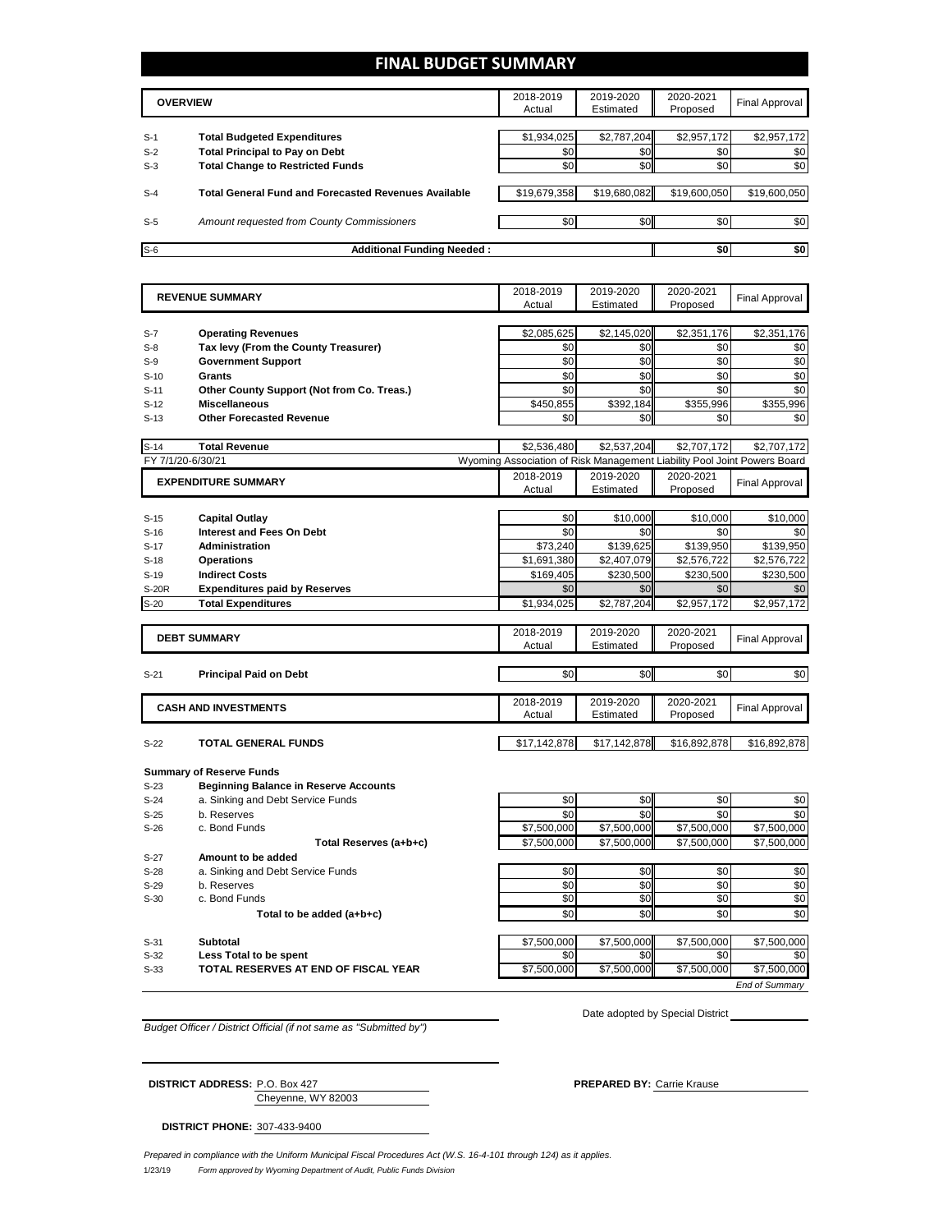## **FINAL BUDGET SUMMARY**

| <b>OVERVIEW</b> |                                                             | 2018-2019<br>Actual | 2019-2020<br>Estimated | 2020-2021<br>Proposed | Final Approval |
|-----------------|-------------------------------------------------------------|---------------------|------------------------|-----------------------|----------------|
|                 |                                                             |                     |                        |                       |                |
| $S-1$           | <b>Total Budgeted Expenditures</b>                          | \$1,934,025         | \$2,787,204            | \$2,957,172           | \$2,957,172    |
| $S-2$           | <b>Total Principal to Pay on Debt</b>                       | \$0                 | \$0 <sub>1</sub>       | \$0                   | \$0            |
| $S-3$           | <b>Total Change to Restricted Funds</b>                     | \$0                 | \$0                    | \$0                   | \$0            |
|                 |                                                             |                     |                        |                       |                |
| $S-4$           | <b>Total General Fund and Forecasted Revenues Available</b> | \$19,679,358        | \$19,680,082           | \$19,600,050          | \$19,600,050   |
|                 |                                                             |                     |                        |                       |                |
| $S-5$           | Amount requested from County Commissioners                  | \$0                 | \$0 <sub>1</sub>       | \$0                   | \$0            |
|                 |                                                             |                     |                        |                       |                |
| $S-6$           | <b>Additional Funding Needed:</b>                           |                     |                        |                       | \$0<br>\$0     |

|              | <b>REVENUE SUMMARY</b>                       |                                                                          | 2019-2020              | 2020-2021    | <b>Final Approval</b> |
|--------------|----------------------------------------------|--------------------------------------------------------------------------|------------------------|--------------|-----------------------|
|              |                                              | Actual                                                                   | Estimated              | Proposed     |                       |
|              |                                              |                                                                          |                        |              |                       |
| $S-7$        | <b>Operating Revenues</b>                    | \$2,085,625                                                              | \$2,145,020            | \$2,351,176  | \$2,351,176           |
| $S-8$        | Tax levy (From the County Treasurer)         | \$0                                                                      | \$0                    | \$0          | \$0                   |
| $S-9$        | <b>Government Support</b>                    | \$0                                                                      | \$0                    | \$0          | \$0                   |
| $S-10$       | Grants                                       | \$0                                                                      | \$0                    | \$0          | \$0                   |
| $S-11$       | Other County Support (Not from Co. Treas.)   | \$0                                                                      | \$0                    | \$0          | \$0                   |
| $S-12$       | <b>Miscellaneous</b>                         | \$450,855                                                                | \$392,184              | \$355,996    | \$355,996             |
| $S-13$       | <b>Other Forecasted Revenue</b>              | \$0                                                                      | \$0                    | \$0          | \$0                   |
| $S-14$       | <b>Total Revenue</b>                         | \$2,536,480                                                              | \$2,537,204            | \$2,707,172  | \$2,707,172           |
|              | FY 7/1/20-6/30/21                            | Wyoming Association of Risk Management Liability Pool Joint Powers Board |                        |              |                       |
|              | <b>EXPENDITURE SUMMARY</b>                   | 2018-2019                                                                | 2019-2020              | 2020-2021    | <b>Final Approval</b> |
|              |                                              | Actual                                                                   | Estimated              | Proposed     |                       |
|              |                                              |                                                                          |                        |              |                       |
| $S-15$       | <b>Capital Outlay</b>                        | \$0                                                                      | \$10,000               | \$10,000     | \$10,000              |
| $S-16$       | <b>Interest and Fees On Debt</b>             | \$0                                                                      | \$0                    | \$0          | \$0                   |
| $S-17$       | <b>Administration</b>                        | \$73,240                                                                 | \$139,625              | \$139,950    | \$139,950             |
| $S-18$       | <b>Operations</b>                            | \$1,691,380                                                              | \$2,407,079            | \$2,576,722  | \$2,576,722           |
| $S-19$       | <b>Indirect Costs</b>                        | \$169,405                                                                | \$230,500              | \$230,500    | \$230,500             |
| <b>S-20R</b> | <b>Expenditures paid by Reserves</b>         | \$0                                                                      | \$0                    | \$0          | \$0                   |
| $S-20$       | <b>Total Expenditures</b>                    | \$1,934,025                                                              | \$2,787,204            | \$2,957,172  | \$2,957,172           |
|              |                                              | 2018-2019                                                                | 2019-2020              | 2020-2021    |                       |
|              | <b>DEBT SUMMARY</b>                          | Actual                                                                   | Estimated              | Proposed     | <b>Final Approval</b> |
|              |                                              |                                                                          |                        |              |                       |
| $S-21$       | <b>Principal Paid on Debt</b>                | \$0                                                                      | \$0                    | \$0          | \$0                   |
|              |                                              |                                                                          |                        |              |                       |
|              | <b>CASH AND INVESTMENTS</b>                  | 2018-2019<br>Actual                                                      | 2019-2020<br>Estimated | 2020-2021    | <b>Final Approval</b> |
|              |                                              |                                                                          |                        | Proposed     |                       |
| $S-22$       | <b>TOTAL GENERAL FUNDS</b>                   | \$17,142,878                                                             | \$17,142,878           | \$16,892,878 | \$16,892,878          |
|              |                                              |                                                                          |                        |              |                       |
|              | <b>Summary of Reserve Funds</b>              |                                                                          |                        |              |                       |
| $S-23$       | <b>Beginning Balance in Reserve Accounts</b> |                                                                          |                        |              |                       |
| $S-24$       | a. Sinking and Debt Service Funds            | \$0                                                                      | \$0                    | \$0          | \$0                   |
| $S-25$       | b. Reserves                                  | \$0                                                                      | \$0                    | \$0          | \$0                   |
| $S-26$       | c. Bond Funds                                | \$7,500,000                                                              | \$7,500,000            | \$7,500,000  | \$7,500,000           |
|              | Total Reserves (a+b+c)                       | \$7,500,000                                                              | \$7,500,000            | \$7,500,000  | \$7,500,000           |
| $S-27$       | Amount to be added                           |                                                                          |                        |              |                       |
| $S-28$       | a. Sinking and Debt Service Funds            | \$0                                                                      | \$0                    | \$0          | \$0                   |
| $S-29$       | b. Reserves                                  | \$0                                                                      | \$0                    | \$0          | \$0                   |
| $S-30$       | c. Bond Funds                                | \$0                                                                      | \$0                    | \$0          | \$0                   |
|              | Total to be added (a+b+c)                    | \$0                                                                      | \$0                    | \$0          | \$0                   |
| $S-31$       | Subtotal                                     | \$7,500,000                                                              | \$7,500,000            | \$7.500.000  | \$7,500,000           |
| $S-32$       | Less Total to be spent                       | \$0                                                                      | \$0                    | \$0          | \$0                   |

S-33 **TOTAL RESERVES AT END OF FISCAL YEAR** \$7,500,000 \$7,500,000 \$7,500,000 \$7,500,000 \$7,500,000 \$7,500,000 \$7,500,000 \$7,500,000 \$7,500,000 \$7,500,000 \$7,500,000 \$7,500,000 \$7,500,000 \$7,500,000 \$7,500,000 \$7,500,000 \$7

Date adopted by Special District

*End of Summary*

*Budget Officer / District Official (if not same as "Submitted by")*

Cheyenne, WY 82003 **DISTRICT ADDRESS:** P.O. Box 427 **PREPARED BY:** Carrie Krause

**DISTRICT PHONE:** 307-433-9400

1/23/19 *Form approved by Wyoming Department of Audit, Public Funds Division Prepared in compliance with the Uniform Municipal Fiscal Procedures Act (W.S. 16-4-101 through 124) as it applies.*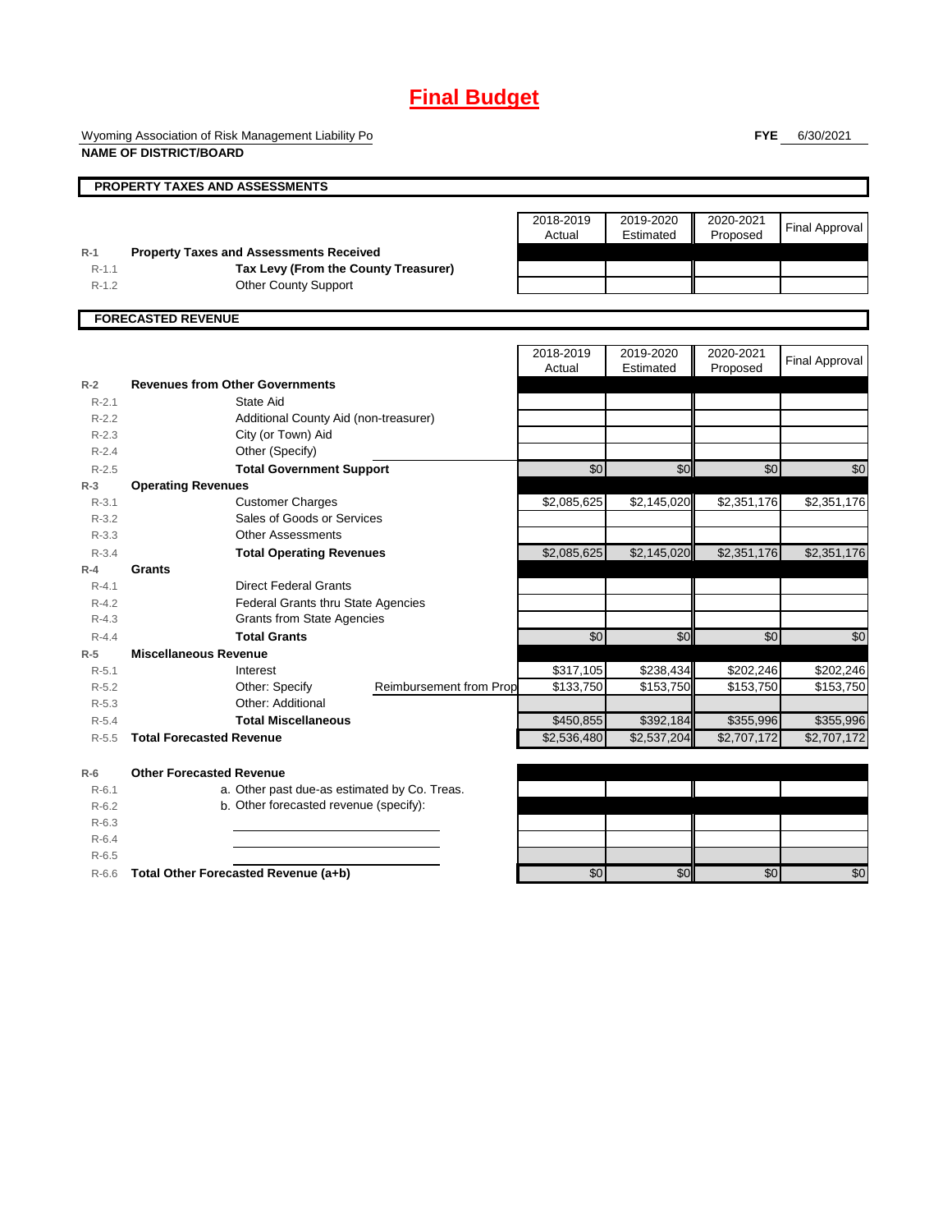# **Final Budget**

Wyoming Association of Risk Management Liability Po

**FYE** 6/30/2021

| <b>NAME OF DISTRICT/BOARD</b> |                                                               |                                |                          |                          |                          |                                 |
|-------------------------------|---------------------------------------------------------------|--------------------------------|--------------------------|--------------------------|--------------------------|---------------------------------|
|                               | <b>PROPERTY TAXES AND ASSESSMENTS</b>                         |                                |                          |                          |                          |                                 |
|                               |                                                               |                                | 2018-2019<br>Actual      | 2019-2020<br>Estimated   | 2020-2021<br>Proposed    | <b>Final Approval</b>           |
| $R-1$                         | <b>Property Taxes and Assessments Received</b>                |                                |                          |                          |                          |                                 |
| $R-1.1$                       | Tax Levy (From the County Treasurer)                          |                                |                          |                          |                          |                                 |
| $R-1.2$                       | <b>Other County Support</b>                                   |                                |                          |                          |                          |                                 |
|                               | <b>FORECASTED REVENUE</b>                                     |                                |                          |                          |                          |                                 |
|                               |                                                               |                                | 2018-2019<br>Actual      | 2019-2020<br>Estimated   | 2020-2021<br>Proposed    | <b>Final Approval</b>           |
| $R-2$                         | <b>Revenues from Other Governments</b>                        |                                |                          |                          |                          |                                 |
| $R - 2.1$                     | <b>State Aid</b>                                              |                                |                          |                          |                          |                                 |
| $R-2.2$                       | Additional County Aid (non-treasurer)                         |                                |                          |                          |                          |                                 |
| $R-2.3$                       | City (or Town) Aid                                            |                                |                          |                          |                          |                                 |
| $R-2.4$                       | Other (Specify)                                               |                                |                          |                          |                          |                                 |
| $R-2.5$                       | <b>Total Government Support</b>                               |                                | \$0                      | \$0                      | \$0                      | \$0                             |
| $R-3$                         | <b>Operating Revenues</b>                                     |                                |                          |                          |                          |                                 |
| $R - 3.1$                     | <b>Customer Charges</b>                                       |                                | \$2,085,625              | \$2,145,020              | \$2,351,176              | \$2,351,176                     |
| $R - 3.2$                     | Sales of Goods or Services                                    |                                |                          |                          |                          |                                 |
| $R - 3.3$                     | <b>Other Assessments</b>                                      |                                |                          |                          |                          |                                 |
| $R - 3.4$                     | <b>Total Operating Revenues</b>                               |                                | \$2,085,625              | \$2,145,020              | \$2,351,176              | \$2,351,176                     |
| $R-4$                         | Grants                                                        |                                |                          |                          |                          |                                 |
| $R - 4.1$                     | <b>Direct Federal Grants</b>                                  |                                |                          |                          |                          |                                 |
| $R - 4.2$                     | Federal Grants thru State Agencies                            |                                |                          |                          |                          |                                 |
| $R - 4.3$                     | <b>Grants from State Agencies</b>                             |                                |                          |                          |                          |                                 |
| $R - 4.4$                     | <b>Total Grants</b>                                           |                                | \$0                      | \$0                      | \$0                      | \$0                             |
| $R-5$                         | <b>Miscellaneous Revenue</b>                                  |                                |                          |                          |                          |                                 |
| $R - 5.1$                     | Interest                                                      |                                | \$317,105                | \$238,434                | \$202,246                | \$202,246                       |
| $R-5.2$                       | Other: Specify                                                | <b>Reimbursement from Prop</b> | \$133,750                | \$153,750                | \$153,750                | \$153,750                       |
| $R-5.3$                       | Other: Additional                                             |                                |                          |                          |                          |                                 |
| $R - 5.4$<br>$R - 5.5$        | <b>Total Miscellaneous</b><br><b>Total Forecasted Revenue</b> |                                | \$450,855<br>\$2,536,480 | \$392,184<br>\$2,537,204 | \$355,996<br>\$2,707,172 | \$355,996<br>$\sqrt{2,707,172}$ |
|                               |                                                               |                                |                          |                          |                          |                                 |
| $R-6$                         | <b>Other Forecasted Revenue</b>                               |                                |                          |                          |                          |                                 |
| $R-6.1$                       | a. Other past due-as estimated by Co. Treas.                  |                                |                          |                          |                          |                                 |
| $R-6.2$                       | b. Other forecasted revenue (specify):                        |                                |                          |                          |                          |                                 |
| $R-6.3$                       |                                                               |                                |                          |                          |                          |                                 |
| $R-6.4$<br>$R-6.5$            |                                                               |                                |                          |                          |                          |                                 |
|                               |                                                               |                                | \$0                      | \$0                      | \$0                      | \$0                             |
| $R-6.6$                       | Total Other Forecasted Revenue (a+b)                          |                                |                          |                          |                          |                                 |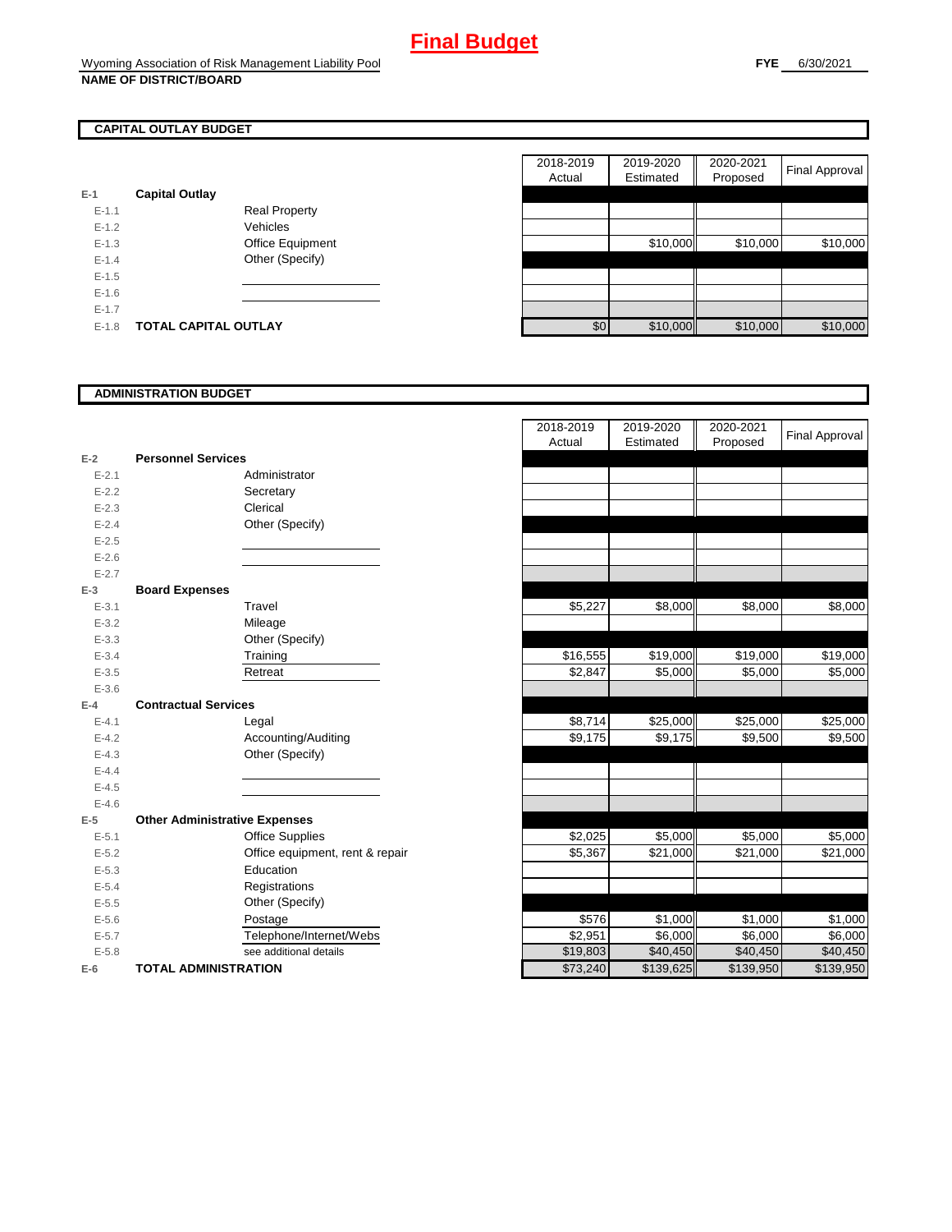# **CAPITAL OUTLAY BUDGET**

| E-1       | <b>Capital Outlay</b> |                         |
|-----------|-----------------------|-------------------------|
| $E - 1.1$ |                       | Real Property           |
| $F-12$    |                       | Vehicles                |
| $F-1.3$   |                       | <b>Office Equipment</b> |
| $F-14$    |                       | Other (Specify)         |
| $F-1.5$   |                       |                         |
| $F-16$    |                       |                         |
| $F-17$    |                       |                         |
| F-18      | TOTAL CAPITAL OUTLAY  |                         |

|           |                             |                      | 2018-2019 | 2019-2020 | 2020-2021 |                |
|-----------|-----------------------------|----------------------|-----------|-----------|-----------|----------------|
|           |                             |                      | Actual    | Estimated | Proposed  | Final Approval |
|           | <b>Capital Outlay</b>       |                      |           |           |           |                |
| $E-1.1$   |                             | <b>Real Property</b> |           |           |           |                |
| $E-1.2$   |                             | Vehicles             |           |           |           |                |
| $E-1.3$   |                             | Office Equipment     |           | \$10,000  | \$10,000  | \$10,000       |
| $E - 1.4$ |                             | Other (Specify)      |           |           |           |                |
| $E-1.5$   |                             |                      |           |           |           |                |
| $E-1.6$   |                             |                      |           |           |           |                |
| $E - 1.7$ |                             |                      |           |           |           |                |
| $E-1.8$   | <b>TOTAL CAPITAL OUTLAY</b> |                      | \$0       | \$10,000  | \$10,000  | \$10,000       |

#### **ADMINISTRATION BUDGET**

| $E-2$     | <b>Personnel Services</b>            |                              |
|-----------|--------------------------------------|------------------------------|
| $E - 2.1$ |                                      | Administrator                |
| $E - 2.2$ |                                      | Secretary                    |
| $E - 2.3$ |                                      | Clerical                     |
| $E - 2.4$ |                                      | Other (Specify)              |
| $E - 2.5$ |                                      |                              |
| $E - 2.6$ |                                      |                              |
| $E - 2.7$ |                                      |                              |
| $E-3$     | <b>Board Expenses</b>                |                              |
| $E - 3.1$ |                                      | Travel                       |
| $E - 3.2$ |                                      | Mileage                      |
| $E - 3.3$ |                                      | Other (Specify)              |
| $E - 3.4$ |                                      | Training                     |
| $E - 3.5$ |                                      | Retreat                      |
| $E - 3.6$ |                                      |                              |
| $E - 4$   | <b>Contractual Services</b>          |                              |
| $E - 4.1$ |                                      | Legal                        |
| $E-4.2$   |                                      | Accounting/Auditing          |
| $E - 4.3$ |                                      | Other (Specify)              |
| $E - 4.4$ |                                      |                              |
| $E - 4.5$ |                                      |                              |
| $E - 4.6$ |                                      |                              |
| $E-5$     | <b>Other Administrative Expenses</b> |                              |
| $E - 5.1$ |                                      | <b>Office Supplies</b>       |
| $E - 5.2$ |                                      | Office equipment, rent & rep |
| $E - 5.3$ |                                      | Education                    |
| $E - 5.4$ |                                      | Registrations                |
| $E - 5.5$ |                                      | Other (Specify)              |
| $E - 5.6$ |                                      | Postage                      |
| $E - 5.7$ |                                      | Telephone/Internet/Webs      |
| $E - 5.8$ |                                      | see additional details       |
| $E-6$     | TOTAL ADMINISTRATION                 |                              |

|           |                                      | 2018-2019 | 2019-2020 | 2020-2021 |                       |
|-----------|--------------------------------------|-----------|-----------|-----------|-----------------------|
|           |                                      | Actual    | Estimated | Proposed  | <b>Final Approval</b> |
| $E-2$     | <b>Personnel Services</b>            |           |           |           |                       |
| $E - 2.1$ | Administrator                        |           |           |           |                       |
| $E - 2.2$ | Secretary                            |           |           |           |                       |
| $E - 2.3$ | Clerical                             |           |           |           |                       |
| $E - 2.4$ | Other (Specify)                      |           |           |           |                       |
| $E - 2.5$ |                                      |           |           |           |                       |
| $E-2.6$   |                                      |           |           |           |                       |
| $E - 2.7$ |                                      |           |           |           |                       |
| $E-3$     | <b>Board Expenses</b>                |           |           |           |                       |
| $E - 3.1$ | Travel                               | \$5,227   | \$8,000   | \$8,000   | \$8,000               |
| $E - 3.2$ | Mileage                              |           |           |           |                       |
| $E - 3.3$ | Other (Specify)                      |           |           |           |                       |
| $E - 3.4$ | Training                             | \$16,555  | \$19,000  | \$19,000  | \$19,000              |
| $E - 3.5$ | Retreat                              | \$2,847   | \$5,000   | \$5,000   | \$5,000               |
| $E - 3.6$ |                                      |           |           |           |                       |
| $E-4$     | <b>Contractual Services</b>          |           |           |           |                       |
| $E - 4.1$ | Legal                                | \$8,714   | \$25,000  | \$25,000  | \$25,000              |
| $E - 4.2$ | Accounting/Auditing                  | \$9,175   | \$9,175   | \$9,500   | \$9,500               |
| $E - 4.3$ | Other (Specify)                      |           |           |           |                       |
| $E - 4.4$ |                                      |           |           |           |                       |
| $E - 4.5$ |                                      |           |           |           |                       |
| $E-4.6$   |                                      |           |           |           |                       |
| $E-5$     | <b>Other Administrative Expenses</b> |           |           |           |                       |
| $E - 5.1$ | <b>Office Supplies</b>               | \$2,025   | \$5,000   | \$5,000   | \$5,000               |
| $E - 5.2$ | Office equipment, rent & repair      | \$5,367   | \$21,000  | \$21,000  | \$21,000              |
| $E - 5.3$ | Education                            |           |           |           |                       |
| $E - 5.4$ | Registrations                        |           |           |           |                       |
| $E - 5.5$ | Other (Specify)                      |           |           |           |                       |
| $E - 5.6$ | Postage                              | \$576     | \$1,000   | \$1,000   | \$1,000               |
| $E - 5.7$ | Telephone/Internet/Webs              | \$2,951   | \$6.000   | \$6,000   | \$6,000               |
| $E - 5.8$ | see additional details               | \$19,803  | \$40,450  | \$40,450  | \$40,450              |
| $E-6$     | <b>TOTAL ADMINISTRATION</b>          | \$73,240  | \$139,625 | \$139,950 | \$139,950             |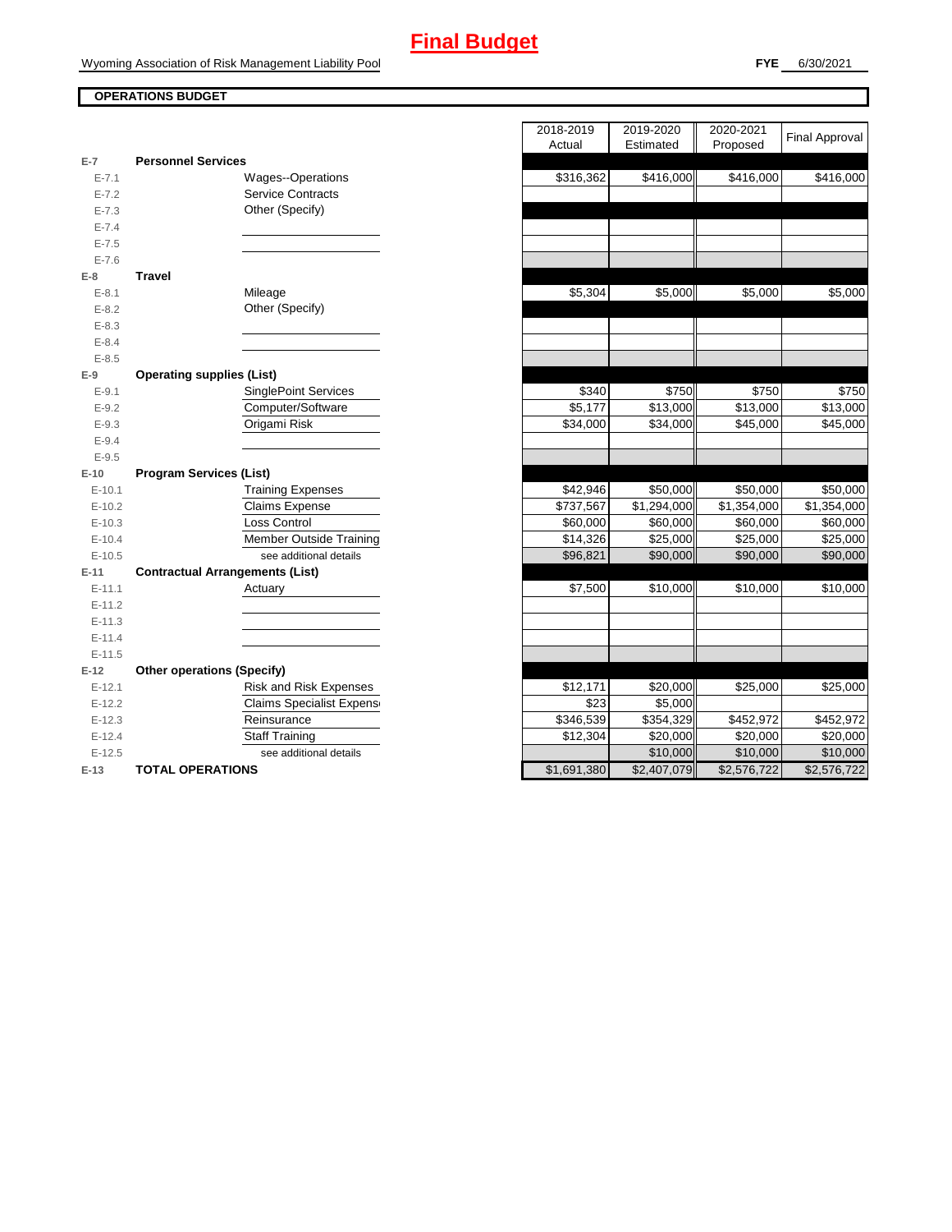# **OPERATIONS BUDGET**

|                      |                                        | 1.0.001               | ----------           |
|----------------------|----------------------------------------|-----------------------|----------------------|
| $E-7$                | <b>Personnel Services</b>              |                       |                      |
| $E - 7.1$            | Wages--Operations                      | \$316,362             | \$416,000            |
| $E - 7.2$            | <b>Service Contracts</b>               |                       |                      |
| $E - 7.3$            | Other (Specify)                        |                       |                      |
| $E - 7.4$            |                                        |                       |                      |
| $E - 7.5$            |                                        |                       |                      |
| $E - 7.6$            |                                        |                       |                      |
| $E-8$                | <b>Travel</b>                          |                       |                      |
| $E - 8.1$            | Mileage                                | \$5,304               | \$5,000              |
| $E - 8.2$            | Other (Specify)                        |                       |                      |
| $E - 8.3$            |                                        |                       |                      |
| $E - 8.4$            |                                        |                       |                      |
| $E - 8.5$            |                                        |                       |                      |
| $E-9$                | <b>Operating supplies (List)</b>       |                       |                      |
| $E-9.1$              | <b>SinglePoint Services</b>            | \$340                 | \$750                |
| $E-9.2$              | Computer/Software                      | \$5,177               | \$13,000             |
| $E - 9.3$            | Origami Risk                           | \$34,000              | \$34,000             |
| $E - 9.4$            |                                        |                       |                      |
| $E - 9.5$            |                                        |                       |                      |
| $E-10$               | <b>Program Services (List)</b>         |                       |                      |
| $E-10.1$             | <b>Training Expenses</b>               | \$42,946              | \$50,000             |
| $E-10.2$             | Claims Expense                         | \$737,567             | \$1,294,000          |
| $E-10.3$             | Loss Control                           | \$60,000              | \$60,000             |
| $E-10.4$             | <b>Member Outside Training</b>         | \$14,326              | \$25,000             |
| $E-10.5$             | see additional details                 | \$96,821              | \$90,000             |
| $E-11$               | <b>Contractual Arrangements (List)</b> |                       |                      |
| $E-11.1$             | Actuary                                | \$7,500               | \$10,000             |
| $E-11.2$             |                                        |                       |                      |
| $E-11.3$             |                                        |                       |                      |
| $E-11.4$             |                                        |                       |                      |
| $E-11.5$             |                                        |                       |                      |
| $E-12$               | <b>Other operations (Specify)</b>      |                       |                      |
| $E-12.1$             | <b>Risk and Risk Expenses</b>          | \$12,171              | \$20,000             |
| $E-12.2$             | <b>Claims Specialist Expens</b>        | \$23                  | \$5,000              |
| $E-12.3$             | Reinsurance<br><b>Staff Training</b>   | \$346,539<br>\$12,304 | \$354,329            |
| $E-12.4$<br>$E-12.5$ | see additional details                 |                       | \$20,000<br>\$10,000 |
|                      |                                        |                       |                      |
| $E-13$               | <b>TOTAL OPERATIONS</b>                | \$1,691,380           | \$2,407,079          |

|                      |                                        | 2018-2019   | 2019-2020   | 2020-2021   | <b>Final Approval</b>   |
|----------------------|----------------------------------------|-------------|-------------|-------------|-------------------------|
|                      |                                        | Actual      | Estimated   | Proposed    |                         |
| $\overline{7}$       | <b>Personnel Services</b>              |             |             |             |                         |
| $E - 7.1$            | <b>Wages--Operations</b>               | \$316,362   | \$416,000   | \$416,000   | \$416,000               |
| $E - 7.2$            | <b>Service Contracts</b>               |             |             |             |                         |
| $E - 7.3$            | Other (Specify)                        |             |             |             |                         |
| $E - 7.4$            |                                        |             |             |             |                         |
| $E - 7.5$            |                                        |             |             |             |                         |
| $E - 7.6$            |                                        |             |             |             |                         |
| 8                    | <b>Travel</b>                          |             |             |             |                         |
| $E - 8.1$            | Mileage                                | \$5,304     | \$5,000     | \$5,000     | \$5,000                 |
| $E - 8.2$            | Other (Specify)                        |             |             |             |                         |
| $E - 8.3$            |                                        |             |             |             |                         |
| $E - 8.4$            |                                        |             |             |             |                         |
| $E - 8.5$            |                                        |             |             |             |                         |
| 9                    | <b>Operating supplies (List)</b>       | \$340       | \$750       | \$750       | \$750                   |
| $E - 9.1$            | <b>SinglePoint Services</b>            |             |             |             |                         |
| $E - 9.2$            | Computer/Software                      | \$5,177     | \$13,000    | \$13,000    | \$13,000                |
| $E - 9.3$            | Origami Risk                           | \$34,000    | \$34,000    | \$45,000    | \$45,000                |
| $E - 9.4$            |                                        |             |             |             |                         |
| $E - 9.5$            | <b>Program Services (List)</b>         |             |             |             |                         |
| 10<br>$E-10.1$       | <b>Training Expenses</b>               | \$42,946    | \$50,000    | \$50,000    | \$50,000                |
|                      |                                        | \$737,567   | \$1,294,000 | \$1,354,000 |                         |
| $E-10.2$             | Claims Expense<br>Loss Control         | \$60,000    | \$60,000    | \$60,000    | \$1,354,000<br>\$60,000 |
| $E-10.3$<br>$E-10.4$ | <b>Member Outside Training</b>         | \$14,326    | \$25,000    | \$25,000    | \$25,000                |
| $E-10.5$             | see additional details                 | \$96,821    | \$90,000    | \$90,000    | \$90,000                |
| $-11$                | <b>Contractual Arrangements (List)</b> |             |             |             |                         |
| $E-11.1$             | Actuary                                | \$7,500     | \$10,000    | \$10,000    | \$10,000                |
| $E-11.2$             |                                        |             |             |             |                         |
| $E-11.3$             |                                        |             |             |             |                         |
| $E-11.4$             |                                        |             |             |             |                         |
| $E-11.5$             |                                        |             |             |             |                         |
| 12                   | <b>Other operations (Specify)</b>      |             |             |             |                         |
| $E-12.1$             | Risk and Risk Expenses                 | \$12,171    | \$20,000    | \$25,000    | \$25,000                |
| $E-12.2$             | <b>Claims Specialist Expens</b>        | \$23        | \$5,000     |             |                         |
| $E-12.3$             | Reinsurance                            | \$346,539   | \$354,329   | \$452,972   | \$452,972               |
| $E-12.4$             | <b>Staff Training</b>                  | \$12,304    | \$20,000    | \$20,000    | \$20,000                |
| $E-12.5$             | see additional details                 |             | \$10,000    | \$10,000    | \$10,000                |
| $-13$                | <b>TOTAL OPERATIONS</b>                | \$1,691,380 | \$2,407,079 | \$2,576,722 | \$2,576,722             |
|                      |                                        |             |             |             |                         |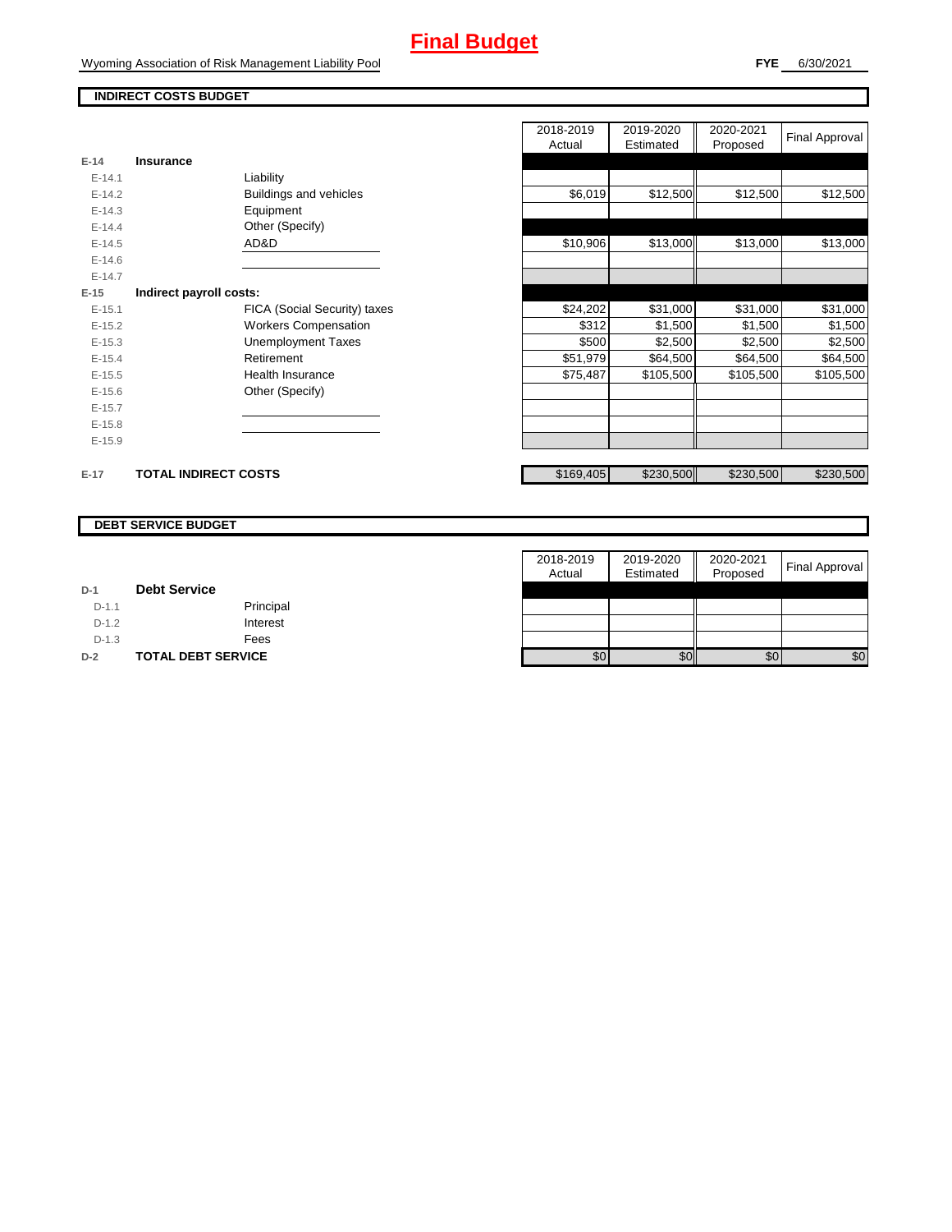### **INDIRECT COSTS BUDGET**

|          |                              | nuuai     | Lounalcu  | <b>Lipposed</b> |           |
|----------|------------------------------|-----------|-----------|-----------------|-----------|
| $E-14$   | Insurance                    |           |           |                 |           |
| $E-14.1$ | Liability                    |           |           |                 |           |
| $E-14.2$ | Buildings and vehicles       | \$6,019   | \$12,500  | \$12,500        | \$12,500  |
| $E-14.3$ | Equipment                    |           |           |                 |           |
| $E-14.4$ | Other (Specify)              |           |           |                 |           |
| $E-14.5$ | AD&D                         | \$10,906  | \$13,000  | \$13,000        | \$13,000  |
| $E-14.6$ |                              |           |           |                 |           |
| $E-14.7$ |                              |           |           |                 |           |
| $E-15$   | Indirect payroll costs:      |           |           |                 |           |
| $E-15.1$ | FICA (Social Security) taxes | \$24,202  | \$31,000  | \$31,000        | \$31,000  |
| $E-15.2$ | <b>Workers Compensation</b>  | \$312     | \$1,500   | \$1,500         | \$1,500   |
| $E-15.3$ | <b>Unemployment Taxes</b>    | \$500     | \$2,500   | \$2,500         | \$2,500   |
| $E-15.4$ | Retirement                   | \$51,979  | \$64,500  | \$64,500        | \$64,500  |
| $E-15.5$ | Health Insurance             | \$75,487  | \$105,500 | \$105,500       | \$105,500 |
| $E-15.6$ | Other (Specify)              |           |           |                 |           |
| $E-15.7$ |                              |           |           |                 |           |
| $E-15.8$ |                              |           |           |                 |           |
| $E-15.9$ |                              |           |           |                 |           |
| $E-17$   | <b>TOTAL INDIRECT COSTS</b>  | \$169,405 | \$230,500 | \$230,500       | \$230,500 |

| 2018-2019<br>Actual | 2019-2020<br>Estimated | 2020-2021<br>Proposed | <b>Final Approval</b> |
|---------------------|------------------------|-----------------------|-----------------------|
|                     |                        |                       |                       |
|                     |                        |                       |                       |
| \$6,019             | \$12,500               | \$12,500              | \$12,500              |
|                     |                        |                       |                       |
|                     |                        |                       |                       |
| \$10,906            | \$13,000               | \$13,000              | \$13,000              |
|                     |                        |                       |                       |
|                     |                        |                       |                       |
|                     |                        |                       |                       |
| \$24,202            | \$31,000               | \$31,000              | \$31,000              |
| \$312               | \$1,500                | \$1,500               | \$1,500               |
| \$500               | \$2,500                | \$2,500               | \$2,500               |
| \$51,979            | \$64,500               | \$64,500              | \$64,500              |
| \$75,487            | \$105,500              | \$105,500             | \$105,500             |
|                     |                        |                       |                       |
|                     |                        |                       |                       |
|                     |                        |                       |                       |
|                     |                        |                       |                       |
|                     |                        |                       |                       |
| \$169,405           | \$230,500              | \$230,500             | \$230,500             |

#### **DEBT SERVICE BUDGET**

|         |                           | 2018-2019 | 2019-2020 | 2020-2021 |                       |
|---------|---------------------------|-----------|-----------|-----------|-----------------------|
|         |                           | Actual    | Estimated | Proposed  | <b>Final Approval</b> |
| $D-1$   | <b>Debt Service</b>       |           |           |           |                       |
| $D-1.1$ | Principal                 |           |           |           |                       |
| $D-1.2$ | Interest                  |           |           |           |                       |
| $D-1.3$ | Fees                      |           |           |           |                       |
| $D-2$   | <b>TOTAL DEBT SERVICE</b> | \$0       | \$0       | \$0       | \$0                   |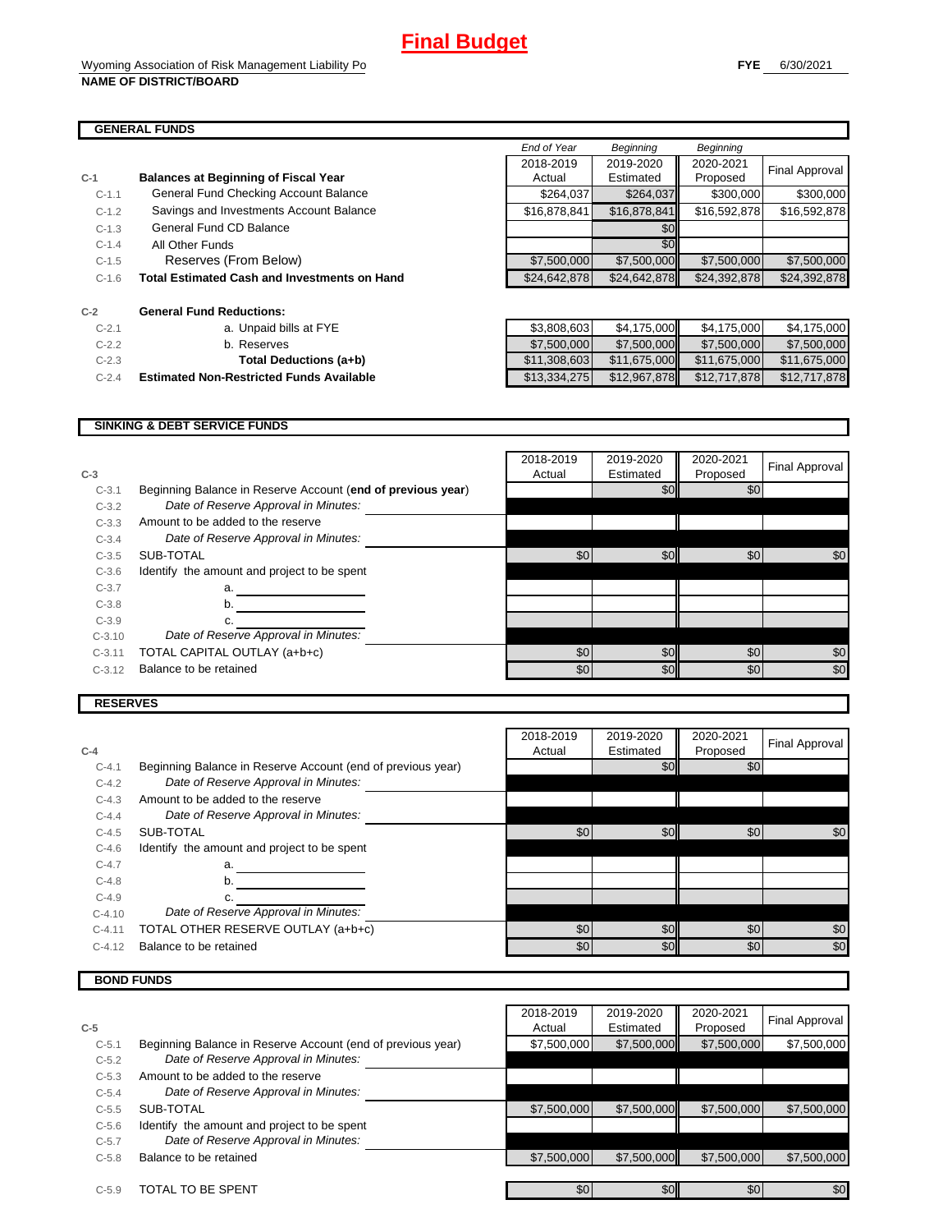h

#### **GENERAL FUNDS**

| $C-1$   | <b>Balances at Beginning of Fiscal Year</b>         | Actual       | Estimated    |
|---------|-----------------------------------------------------|--------------|--------------|
| $C-1.1$ | General Fund Checking Account Balance               | \$264,037    | \$264,037    |
| $C-1.2$ | Savings and Investments Account Balance             | \$16,878,841 | \$16,878,841 |
| $C-1.3$ | General Fund CD Balance                             |              | \$0          |
| $C-1.4$ | All Other Funds                                     |              | \$0          |
| $C-1.5$ | Reserves (From Below)                               | \$7,500,000  | \$7,500,000  |
| $C-1.6$ | <b>Total Estimated Cash and Investments on Hand</b> | \$24,642,878 | \$24,642,878 |
| $C-2$   | <b>General Fund Reductions:</b>                     |              |              |
| $C-2.1$ | a. Unpaid bills at FYE                              | \$3,808,603  | \$4,175,000  |
| $C-2.2$ | b. Reserves                                         | \$7,500,000  | \$7,500,000  |
| $C-2.3$ | Total Deductions (a+b)                              | \$11,308,603 | \$11,675,000 |

|         | 968888 1989                                         |              |              |                  |                |
|---------|-----------------------------------------------------|--------------|--------------|------------------|----------------|
|         |                                                     | End of Year  | Beginning    | <b>Beginning</b> |                |
|         |                                                     | 2018-2019    | 2019-2020    | 2020-2021        | Final Approval |
|         | <b>Balances at Beginning of Fiscal Year</b>         | Actual       | Estimated    | Proposed         |                |
| $C-1.1$ | General Fund Checking Account Balance               | \$264,037    | \$264,037    | \$300,000        | \$300,000      |
| $C-1.2$ | Savings and Investments Account Balance             | \$16,878,841 | \$16,878,841 | \$16,592,878     | \$16,592,878   |
| $C-1.3$ | General Fund CD Balance                             |              | \$0          |                  |                |
| $C-1.4$ | All Other Funds                                     |              | \$0          |                  |                |
| $C-1.5$ | Reserves (From Below)                               | \$7,500,000  | \$7,500,000  | \$7,500,000      | \$7,500,000    |
| $C-1.6$ | <b>Total Estimated Cash and Investments on Hand</b> | \$24,642,878 | \$24,642,878 | \$24,392,878     | \$24,392,878   |

| $C-2.1$ | a. Unpaid bills at FYE                          | \$3.808.603  | \$4.175.000  | \$4.175.000  | \$4,175,000  |
|---------|-------------------------------------------------|--------------|--------------|--------------|--------------|
| $C-2.2$ | b. Reserves                                     | \$7,500,000  | \$7,500,000  | \$7.500,000  | \$7,500,000  |
| $C-2.3$ | Total Deductions (a+b)                          | \$11,308,603 | \$11,675,000 | \$11,675,000 | \$11,675,000 |
| $C-2.4$ | <b>Estimated Non-Restricted Funds Available</b> | \$13.334.275 | \$12,967,878 | \$12,717,878 | \$12,717,878 |

#### **SINKING & DEBT SERVICE FUNDS**

| $C-3$    |                                                             | 2018-2019<br>Actual | 2019-2020<br>Estimated | 2020-2021<br>Proposed | Final Approval |
|----------|-------------------------------------------------------------|---------------------|------------------------|-----------------------|----------------|
| $C-3.1$  | Beginning Balance in Reserve Account (end of previous year) |                     | \$0                    | \$0                   |                |
| $C-3.2$  | Date of Reserve Approval in Minutes:                        |                     |                        |                       |                |
| $C-3.3$  | Amount to be added to the reserve                           |                     |                        |                       |                |
| $C-3.4$  | Date of Reserve Approval in Minutes:                        |                     |                        |                       |                |
| $C-3.5$  | SUB-TOTAL                                                   | \$0                 | \$0                    | \$0                   | \$0            |
| $C-3.6$  | Identify the amount and project to be spent                 |                     |                        |                       |                |
| $C-3.7$  | a.                                                          |                     |                        |                       |                |
| $C-3.8$  | b.                                                          |                     |                        |                       |                |
| $C-3.9$  | с.                                                          |                     |                        |                       |                |
| $C-3.10$ | Date of Reserve Approval in Minutes:                        |                     |                        |                       |                |
| $C-3.11$ | TOTAL CAPITAL OUTLAY (a+b+c)                                | \$0                 | \$0                    | \$0                   | \$0            |
| $C-3.12$ | Balance to be retained                                      | \$0                 | \$0                    | \$0                   | \$0            |
|          |                                                             |                     |                        |                       |                |

#### **RESERVES**

| $C-4$    |                                                             | 2018-2019<br>Actual | 2019-2020<br>Estimated | 2020-2021<br>Proposed | Final Approval |
|----------|-------------------------------------------------------------|---------------------|------------------------|-----------------------|----------------|
| $C-4.1$  | Beginning Balance in Reserve Account (end of previous year) |                     | \$0                    | \$0                   |                |
| $C-4.2$  | Date of Reserve Approval in Minutes:                        |                     |                        |                       |                |
| $C-4.3$  | Amount to be added to the reserve                           |                     |                        |                       |                |
| $C-4.4$  | Date of Reserve Approval in Minutes:                        |                     |                        |                       |                |
| $C-4.5$  | SUB-TOTAL                                                   | \$0                 | \$0                    | \$0                   | \$0            |
| $C-4.6$  | Identify the amount and project to be spent                 |                     |                        |                       |                |
| $C-4.7$  | a.                                                          |                     |                        |                       |                |
| $C-4.8$  | b.                                                          |                     |                        |                       |                |
| $C-4.9$  |                                                             |                     |                        |                       |                |
| $C-4.10$ | Date of Reserve Approval in Minutes:                        |                     |                        |                       |                |
| $C-4.11$ | TOTAL OTHER RESERVE OUTLAY (a+b+c)                          | \$0                 | \$0                    | \$0                   | \$0            |
| $C-4.12$ | Balance to be retained                                      | \$0                 | \$0                    | \$0                   | \$0            |

## **BOND FUNDS**

|         |                                                             | 2018-2019   | 2019-2020   | 2020-2021   | Final Approval |
|---------|-------------------------------------------------------------|-------------|-------------|-------------|----------------|
| $C-5$   |                                                             | Actual      | Estimated   | Proposed    |                |
| $C-5.1$ | Beginning Balance in Reserve Account (end of previous year) | \$7,500,000 | \$7,500,000 | \$7,500,000 | \$7,500,000    |
| $C-5.2$ | Date of Reserve Approval in Minutes:                        |             |             |             |                |
| $C-5.3$ | Amount to be added to the reserve                           |             |             |             |                |
| $C-5.4$ | Date of Reserve Approval in Minutes:                        |             |             |             |                |
| $C-5.5$ | SUB-TOTAL                                                   | \$7,500,000 | \$7,500,000 | \$7,500,000 | \$7,500,000    |
| $C-5.6$ | Identify the amount and project to be spent                 |             |             |             |                |
| $C-5.7$ | Date of Reserve Approval in Minutes:                        |             |             |             |                |
| $C-5.8$ | Balance to be retained                                      | \$7,500,000 | \$7,500,000 | \$7,500,000 | \$7,500,000    |
|         |                                                             |             |             |             |                |
| $C-5.9$ | TOTAL TO BE SPENT                                           | \$0         | \$0         | \$0         | \$0            |